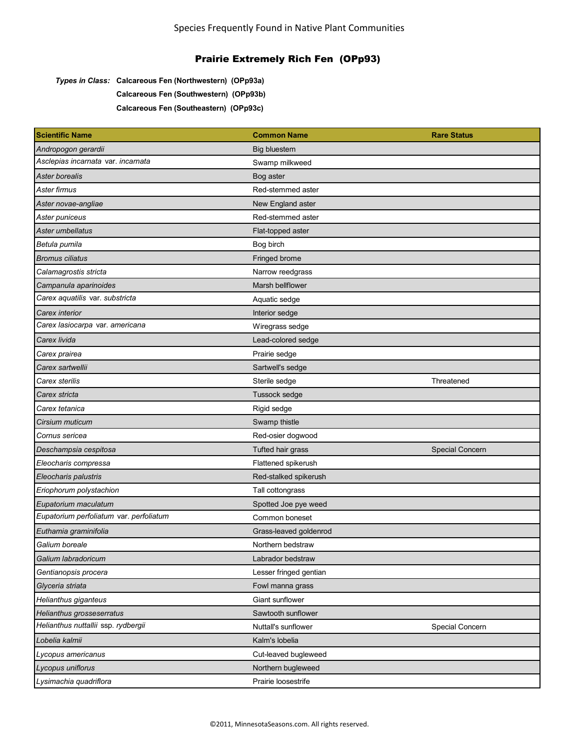*Types in Class:* **Calcareous Fen (Northwestern) (OPp93a) Calcareous Fen (Southwestern) (OPp93b) Calcareous Fen (Southeastern) (OPp93c)**

| <b>Scientific Name</b>                  | <b>Common Name</b>     | <b>Rare Status</b>     |
|-----------------------------------------|------------------------|------------------------|
| Andropogon gerardii                     | <b>Big bluestem</b>    |                        |
| Asclepias incarnata var. incarnata      | Swamp milkweed         |                        |
| Aster borealis                          | Bog aster              |                        |
| Aster firmus                            | Red-stemmed aster      |                        |
| Aster novae-angliae                     | New England aster      |                        |
| Aster puniceus                          | Red-stemmed aster      |                        |
| Aster umbellatus                        | Flat-topped aster      |                        |
| Betula pumila                           | Bog birch              |                        |
| <b>Bromus ciliatus</b>                  | Fringed brome          |                        |
| Calamagrostis stricta                   | Narrow reedgrass       |                        |
| Campanula aparinoides                   | Marsh bellflower       |                        |
| Carex aquatilis var. substricta         | Aquatic sedge          |                        |
| Carex interior                          | Interior sedge         |                        |
| Carex lasiocarpa var. americana         | Wiregrass sedge        |                        |
| Carex livida                            | Lead-colored sedge     |                        |
| Carex prairea                           | Prairie sedge          |                        |
| Carex sartwellii                        | Sartwell's sedge       |                        |
| Carex sterilis                          | Sterile sedge          | Threatened             |
| Carex stricta                           | Tussock sedge          |                        |
| Carex tetanica                          | Rigid sedge            |                        |
| Cirsium muticum                         | Swamp thistle          |                        |
| Cornus sericea                          | Red-osier dogwood      |                        |
| Deschampsia cespitosa                   | Tufted hair grass      | <b>Special Concern</b> |
| Eleocharis compressa                    | Flattened spikerush    |                        |
| Eleocharis palustris                    | Red-stalked spikerush  |                        |
| Eriophorum polystachion                 | Tall cottongrass       |                        |
| Eupatorium maculatum                    | Spotted Joe pye weed   |                        |
| Eupatorium perfoliatum var. perfoliatum | Common boneset         |                        |
| Euthamia graminifolia                   | Grass-leaved goldenrod |                        |
| Galium boreale                          | Northern bedstraw      |                        |
| Galium labradoricum                     | Labrador bedstraw      |                        |
| Gentianopsis procera                    | Lesser fringed gentian |                        |
| Glyceria striata                        | Fowl manna grass       |                        |
| Helianthus giganteus                    | Giant sunflower        |                        |
| Helianthus grosseserratus               | Sawtooth sunflower     |                        |
| Helianthus nuttallii ssp. rydbergii     | Nuttall's sunflower    | Special Concern        |
| Lobelia kalmii                          | Kalm's lobelia         |                        |
| Lycopus americanus                      | Cut-leaved bugleweed   |                        |
| Lycopus uniflorus                       | Northern bugleweed     |                        |
| Lysimachia quadriflora                  | Prairie loosestrife    |                        |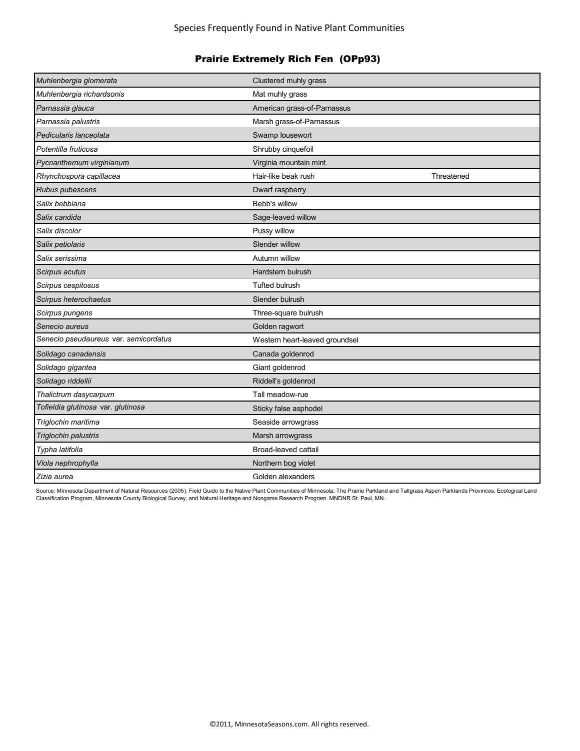| Muhlenbergia glomerata                | Clustered muhly grass             |
|---------------------------------------|-----------------------------------|
| Muhlenbergia richardsonis             | Mat muhly grass                   |
| Parnassia glauca                      | American grass-of-Parnassus       |
| Parnassia palustris                   | Marsh grass-of-Parnassus          |
| Pedicularis lanceolata                | Swamp lousewort                   |
| Potentilla fruticosa                  | Shrubby cinquefoil                |
| Pycnanthemum virginianum              | Virginia mountain mint            |
| Rhynchospora capillacea               | Hair-like beak rush<br>Threatened |
| Rubus pubescens                       | Dwarf raspberry                   |
| Salix bebbiana                        | Bebb's willow                     |
| Salix candida                         | Sage-leaved willow                |
| Salix discolor                        | Pussy willow                      |
| Salix petiolaris                      | Slender willow                    |
| Salix serissima                       | Autumn willow                     |
| Scirpus acutus                        | Hardstem bulrush                  |
| Scirpus cespitosus                    | Tufted bulrush                    |
| Scirpus heterochaetus                 | Slender bulrush                   |
| Scirpus pungens                       | Three-square bulrush              |
| Senecio aureus                        | Golden ragwort                    |
| Senecio pseudaureus var. semicordatus | Western heart-leaved groundsel    |
| Solidago canadensis                   | Canada goldenrod                  |
| Solidago gigantea                     | Giant goldenrod                   |
| Solidago riddellii                    | Riddell's goldenrod               |
| Thalictrum dasycarpum                 | Tall meadow-rue                   |
| Tofieldia glutinosa var. glutinosa    | Sticky false asphodel             |
| Triglochin maritima                   | Seaside arrowgrass                |
| Triglochin palustris                  | Marsh arrowgrass                  |
| Typha latifolia                       | Broad-leaved cattail              |
| Viola nephrophylla                    | Northern bog violet               |
| Zizia aurea                           | Golden alexanders                 |

Source: Minnesota Department of Natural Resources (2005). Field Guide to the Native Plant Communities of Minnesota: The Prairie Parkland and Tallgrass Aspen Parklands Provinces. Ecological Land Classification Program, Minnesota County Biological Survey, and Natural Heritage and Nongame Research Program. MNDNR St. Paul, MN.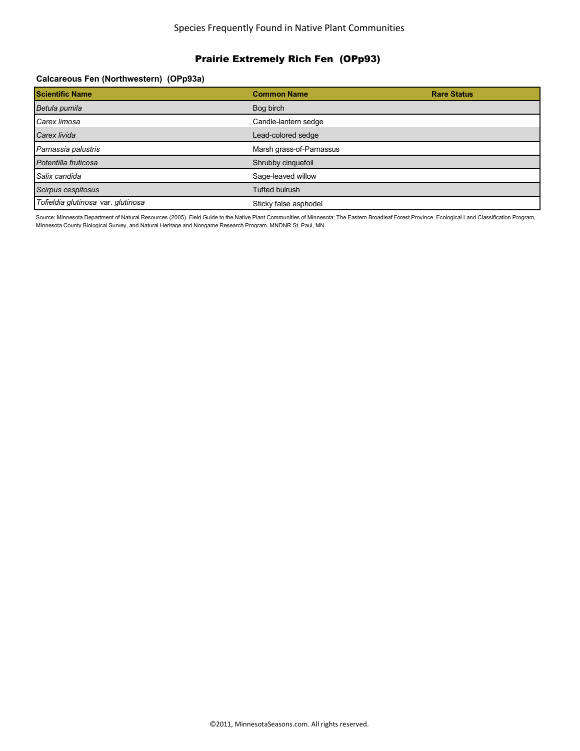## **Calcareous Fen (Northwestern) (OPp93a)**

| <b>Scientific Name</b>             | <b>Common Name</b>       | <b>Rare Status</b> |
|------------------------------------|--------------------------|--------------------|
| Betula pumila                      | Bog birch                |                    |
| Carex limosa                       | Candle-lantern sedge     |                    |
| Carex livida                       | Lead-colored sedge       |                    |
| Parnassia palustris                | Marsh grass-of-Parnassus |                    |
| Potentilla fruticosa               | Shrubby cinquefoil       |                    |
| Salix candida                      | Sage-leaved willow       |                    |
| Scirpus cespitosus                 | Tufted bulrush           |                    |
| Tofieldia glutinosa var. glutinosa | Sticky false asphodel    |                    |

Source: Minnesota Department of Natural Resources (2005). Field Guide to the Native Plant Communities of Minnesota: The Eastern Broadleaf Forest Province. Ecological Land Classification Program, Minnesota County Biological Survey, and Natural Heritage and Nongame Research Program. MNDNR St. Paul, MN.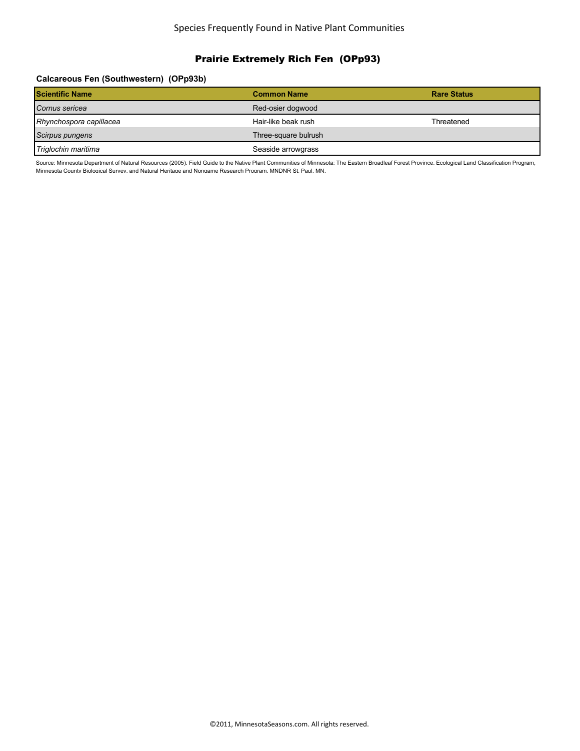## **Calcareous Fen (Southwestern) (OPp93b)**

| <b>Scientific Name</b>  | <b>Common Name</b>   | <b>Rare Status</b> |
|-------------------------|----------------------|--------------------|
| Cornus sericea          | Red-osier dogwood    |                    |
| Rhynchospora capillacea | Hair-like beak rush  | Threatened         |
| Scirpus pungens         | Three-square bulrush |                    |
| Triglochin maritima     | Seaside arrowgrass   |                    |

Source: Minnesota Department of Natural Resources (2005). Field Guide to the Native Plant Communities of Minnesota: The Eastern Broadleaf Forest Province. Ecological Land Classification Program, Minnesota County Biological Survey, and Natural Heritage and Nongame Research Program. MNDNR St. Paul, MN.